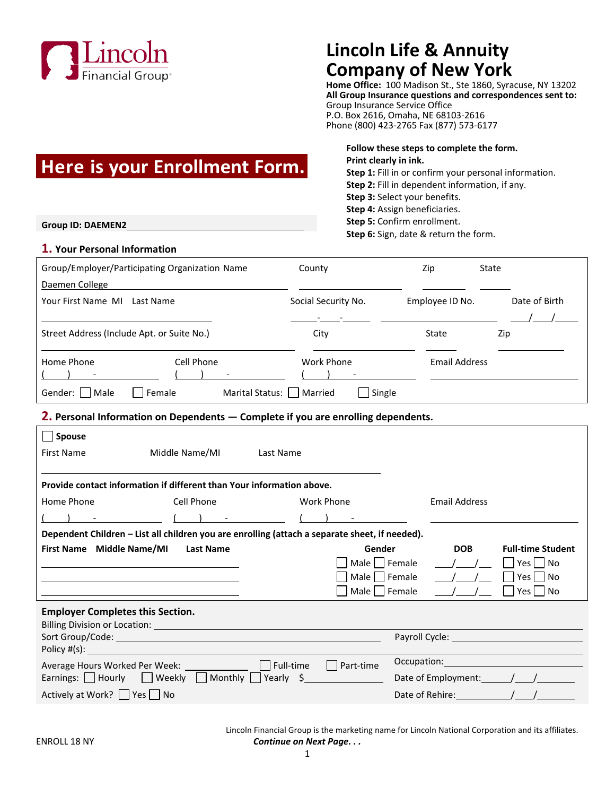

## **Lincoln Life & Annuity Company of New York**

**Home Office:** 100 Madison St., Ste 1860, Syracuse, NY 13202 **All Group Insurance questions and correspondences sent to:** Group Insurance Service Office P.O. Box 2616, Omaha, NE 68103-2616 Phone (800) 423-2765 Fax (877) 573-6177

# **Here is your Enrollment Form.**

**Group ID: DAEMEN2**

#### **1. Your Personal Information**

**Print clearly in ink. Step 1:** Fill in or confirm your personal information. **Step 2:** Fill in dependent information, if any. **Step 3:** Select your benefits. **Step 4:** Assign beneficiaries. **Step 5:** Confirm enrollment.

**Follow these steps to complete the form.**

**Step 6:** Sign, date & return the form.

| Group/Employer/Participating Organization Name |                             | County              | Zip                  | State         |  |
|------------------------------------------------|-----------------------------|---------------------|----------------------|---------------|--|
| Daemen College                                 |                             |                     |                      |               |  |
| Your First Name MI<br>Last Name                |                             | Social Security No. | Employee ID No.      | Date of Birth |  |
|                                                |                             |                     |                      |               |  |
| Street Address (Include Apt. or Suite No.)     |                             | City                | State                | Zip           |  |
| Home Phone                                     | Cell Phone                  | Work Phone          | <b>Email Address</b> |               |  |
| Gender:     Male                               | Marital Status:  <br>Female | Single<br>Married   |                      |               |  |

## **2. Personal Information on Dependents — Complete if you are enrolling dependents.**

| <b>Spouse</b><br><b>First Name</b>                                                                             | Middle Name/MI    | Last Name  |                  |               |                                                                                                                |                     |                                                     |  |
|----------------------------------------------------------------------------------------------------------------|-------------------|------------|------------------|---------------|----------------------------------------------------------------------------------------------------------------|---------------------|-----------------------------------------------------|--|
| Provide contact information if different than Your information above.                                          |                   |            |                  |               |                                                                                                                |                     |                                                     |  |
| Cell Phone<br>Home Phone                                                                                       |                   | Work Phone |                  |               | <b>Email Address</b>                                                                                           |                     |                                                     |  |
|                                                                                                                | $\sim$ ( ) $\sim$ |            |                  |               |                                                                                                                |                     |                                                     |  |
| Dependent Children - List all children you are enrolling (attach a separate sheet, if needed).                 |                   |            |                  |               |                                                                                                                |                     |                                                     |  |
| First Name Middle Name/MI                                                                                      | <b>Last Name</b>  |            |                  | Gender        |                                                                                                                | <b>DOB</b>          | <b>Full-time Student</b>                            |  |
|                                                                                                                |                   |            |                  | Male   Female |                                                                                                                |                     | Yes     No                                          |  |
|                                                                                                                |                   |            |                  | Male   Female |                                                                                                                |                     | Yes l<br>No                                         |  |
|                                                                                                                |                   |            |                  | Male   Female |                                                                                                                |                     | Yes  <br>  No                                       |  |
| <b>Employer Completes this Section.</b>                                                                        |                   |            |                  |               |                                                                                                                |                     |                                                     |  |
| Sort Group/Code: Later and Contract Contract Contract Contract Contract Contract Contract Contract Contract Co |                   |            |                  |               |                                                                                                                |                     | Payroll Cycle: <u>_____________________________</u> |  |
| Policy #(s):                                                                                                   |                   |            |                  |               |                                                                                                                |                     |                                                     |  |
| Full-time                                                                                                      |                   |            | $\Box$ Part-time |               | Occupation: District Processors and District Processors and District Processors and District Processors and Di |                     |                                                     |  |
| Earnings: $\Box$ Hourly $\Box$ Weekly $\Box$ Monthly Yearly \$                                                 |                   |            |                  |               | Date of Employment: \[mathbbf{j}_{\] \[mathbf{j}_{\] \] \]                                                     |                     |                                                     |  |
| Actively at Work?     Yes     No                                                                               |                   |            |                  |               |                                                                                                                | Date of Rehire: ( ) |                                                     |  |

Lincoln Financial Group is the marketing name for Lincoln National Corporation and its affiliates. ENROLL 18 NY *Continue on Next Page. . .*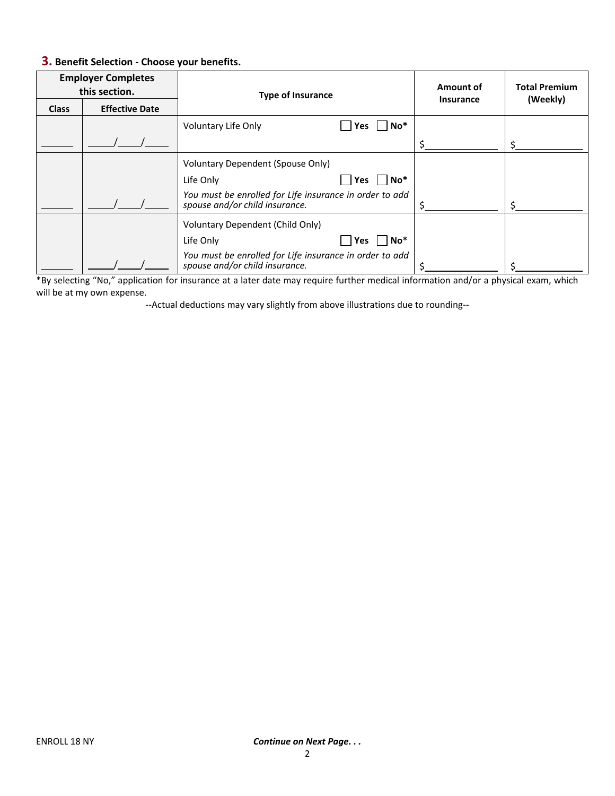## **3. Benefit Selection - Choose your benefits.**

| <b>Employer Completes</b><br>this section. |                       | <b>Type of Insurance</b>                                                                  |                                                 | Amount of<br><b>Insurance</b> | <b>Total Premium</b><br>(Weekly) |
|--------------------------------------------|-----------------------|-------------------------------------------------------------------------------------------|-------------------------------------------------|-------------------------------|----------------------------------|
| <b>Class</b>                               | <b>Effective Date</b> |                                                                                           |                                                 |                               |                                  |
|                                            |                       | Voluntary Life Only                                                                       | $\overline{\phantom{a}}$ No <sup>*</sup><br>Yes |                               |                                  |
|                                            |                       |                                                                                           |                                                 |                               |                                  |
|                                            |                       | <b>Voluntary Dependent (Spouse Only)</b>                                                  |                                                 |                               |                                  |
|                                            |                       | Life Only                                                                                 | ∣ No*<br>Yes                                    |                               |                                  |
|                                            |                       | You must be enrolled for Life insurance in order to add<br>spouse and/or child insurance. |                                                 |                               |                                  |
|                                            |                       | Voluntary Dependent (Child Only)                                                          |                                                 |                               |                                  |
|                                            |                       | Life Only                                                                                 | $\overline{\phantom{a}}$ No $^*$<br>Yes         |                               |                                  |
|                                            |                       | You must be enrolled for Life insurance in order to add<br>spouse and/or child insurance. |                                                 |                               |                                  |

\*By selecting "No," application for insurance at a later date may require further medical information and/or a physical exam, which will be at my own expense.

--Actual deductions may vary slightly from above illustrations due to rounding--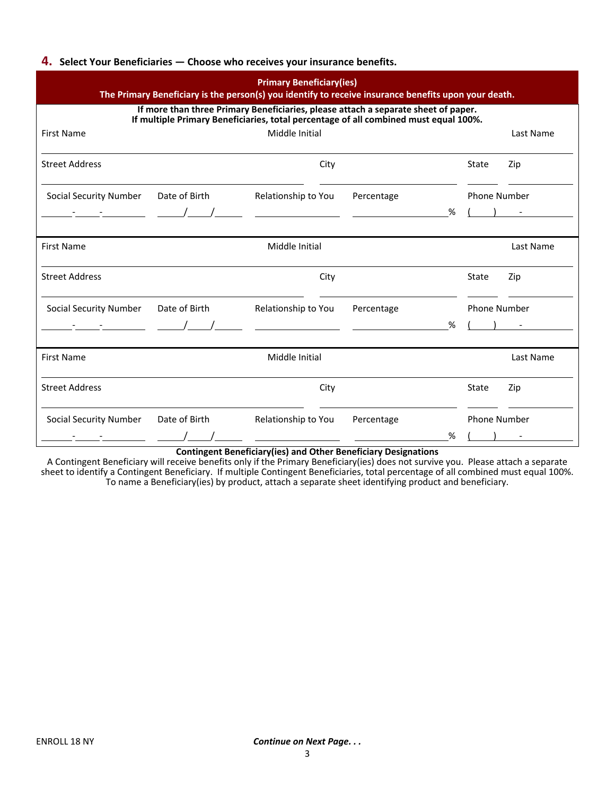#### **4. Select Your Beneficiaries — Choose who receives your insurance benefits.**

| <b>Primary Beneficiary(ies)</b><br>The Primary Beneficiary is the person(s) you identify to receive insurance benefits upon your death.<br>If more than three Primary Beneficiaries, please attach a separate sheet of paper.<br>If multiple Primary Beneficiaries, total percentage of all combined must equal 100%. |                                          |                                                |                                                                                                                      |   |                     |                                      |
|-----------------------------------------------------------------------------------------------------------------------------------------------------------------------------------------------------------------------------------------------------------------------------------------------------------------------|------------------------------------------|------------------------------------------------|----------------------------------------------------------------------------------------------------------------------|---|---------------------|--------------------------------------|
|                                                                                                                                                                                                                                                                                                                       |                                          |                                                |                                                                                                                      |   |                     |                                      |
| <b>Street Address</b>                                                                                                                                                                                                                                                                                                 |                                          | City                                           |                                                                                                                      |   | State               | Zip                                  |
| <b>Social Security Number</b>                                                                                                                                                                                                                                                                                         | Date of Birth                            | Relationship to You                            | Percentage                                                                                                           |   | <b>Phone Number</b> |                                      |
|                                                                                                                                                                                                                                                                                                                       |                                          |                                                |                                                                                                                      | % |                     |                                      |
| <b>First Name</b>                                                                                                                                                                                                                                                                                                     |                                          | Middle Initial                                 |                                                                                                                      |   |                     | Last Name                            |
| <b>Street Address</b>                                                                                                                                                                                                                                                                                                 |                                          | City                                           |                                                                                                                      |   | State               | Zip                                  |
| <b>Social Security Number</b>                                                                                                                                                                                                                                                                                         | Date of Birth                            | Relationship to You                            | Percentage                                                                                                           |   | <b>Phone Number</b> |                                      |
|                                                                                                                                                                                                                                                                                                                       | $\begin{array}{ccc} - & - & \end{array}$ |                                                | <u> 1990 - Johann John Harry Harry Harry Harry Harry Harry Harry Harry Harry Harry Harry Harry Harry Harry Harry</u> | % |                     |                                      |
| <b>First Name</b>                                                                                                                                                                                                                                                                                                     |                                          | Middle Initial                                 |                                                                                                                      |   |                     | Last Name                            |
| <b>Street Address</b>                                                                                                                                                                                                                                                                                                 |                                          | City                                           |                                                                                                                      |   | State               | Zip                                  |
| <b>Social Security Number</b>                                                                                                                                                                                                                                                                                         | Date of Birth                            | Relationship to You                            | Percentage                                                                                                           |   | Phone Number        |                                      |
|                                                                                                                                                                                                                                                                                                                       |                                          | <u> The Communication of the Communication</u> |                                                                                                                      | % |                     | $\begin{array}{ccc} & & \end{array}$ |

**Contingent Beneficiary(ies) and Other Beneficiary Designations**

A Contingent Beneficiary will receive benefits only if the Primary Beneficiary(ies) does not survive you. Please attach a separate sheet to identify a Contingent Beneficiary. If multiple Contingent Beneficiaries, total percentage of all combined must equal 100%. To name a Beneficiary(ies) by product, attach a separate sheet identifying product and beneficiary.